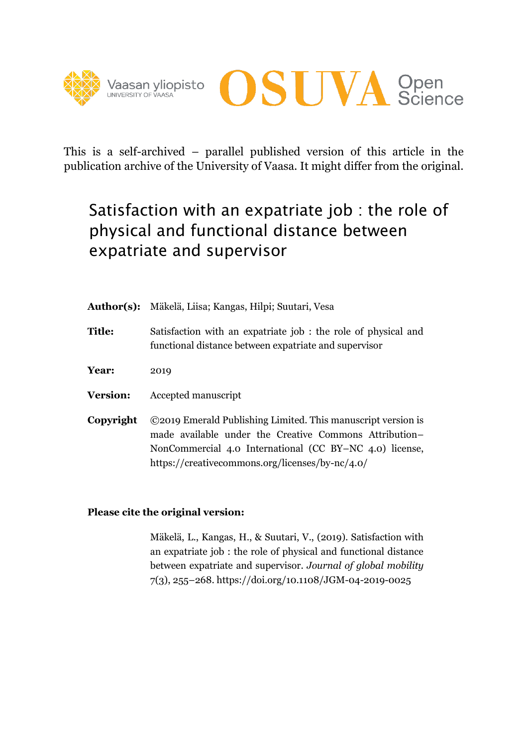



This is a self-archived – parallel published version of this article in the publication archive of the University of Vaasa. It might differ from the original.

# Satisfaction with an expatriate job : the role of physical and functional distance between expatriate and supervisor

| <b>Author(s):</b> | Mäkelä, Liisa; Kangas, Hilpi; Suutari, Vesa                                                                                                                                                                                          |
|-------------------|--------------------------------------------------------------------------------------------------------------------------------------------------------------------------------------------------------------------------------------|
| <b>Title:</b>     | Satisfaction with an expatriate job : the role of physical and<br>functional distance between expatriate and supervisor                                                                                                              |
| Year:             | 2019                                                                                                                                                                                                                                 |
| <b>Version:</b>   | Accepted manuscript                                                                                                                                                                                                                  |
| Copyright         | ©2019 Emerald Publishing Limited. This manuscript version is<br>made available under the Creative Commons Attribution-<br>NonCommercial 4.0 International (CC BY-NC 4.0) license,<br>https://creativecommons.org/licenses/by-nc/4.0/ |

# **Please cite the original version:**

Mäkelä, L., Kangas, H., & Suutari, V., (2019). Satisfaction with an expatriate job : the role of physical and functional distance between expatriate and supervisor. *Journal of global mobility* 7(3), 255–268. https://doi.org/10.1108/JGM-04-2019-0025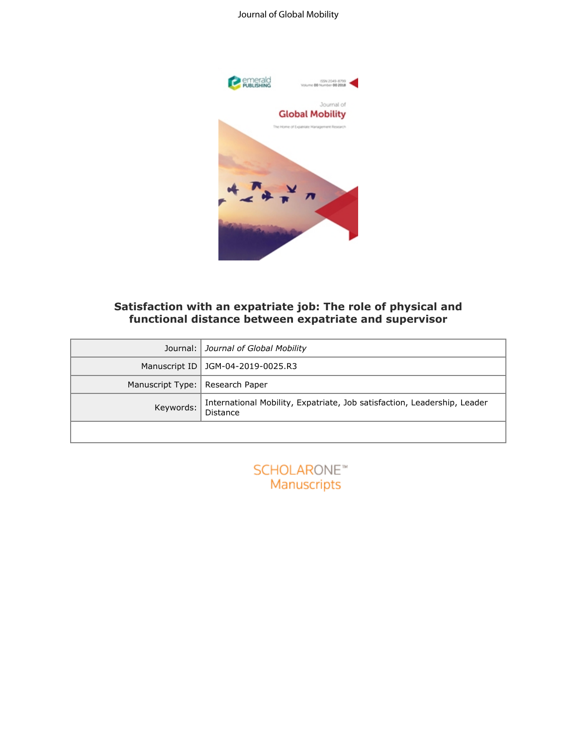# Journal of Global Mobility



# **Satisfaction with an expatriate job: The role of physical and functional distance between expatriate and supervisor**

|                  | Satisfaction with an expatriate job: The role of physical and<br>functional distance between expatriate and supervisor |
|------------------|------------------------------------------------------------------------------------------------------------------------|
| Journal:         | Journal of Global Mobility                                                                                             |
| Manuscript ID    | JGM-04-2019-0025.R3                                                                                                    |
| Manuscript Type: | Research Paper                                                                                                         |
| Keywords:        | International Mobility, Expatriate, Job satisfaction, Leadership, Leader<br><b>Distance</b>                            |
|                  |                                                                                                                        |
|                  | SCHOLARONE <sup>®</sup><br>Manuscripts                                                                                 |

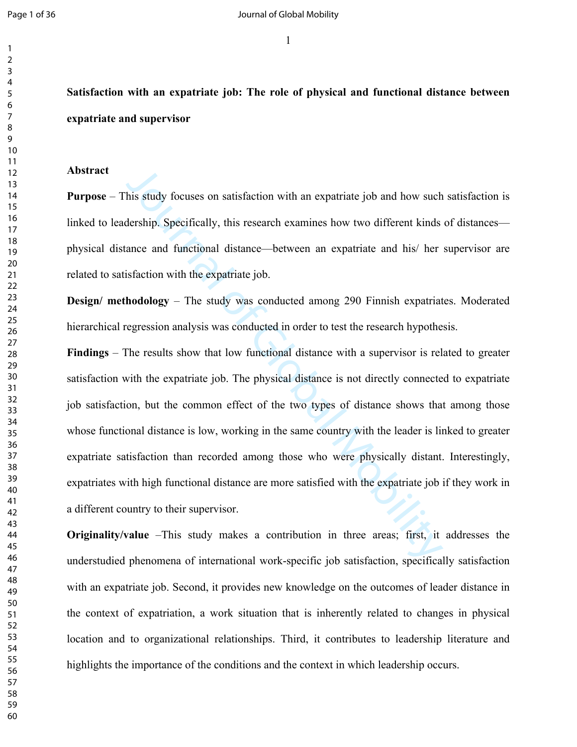**Satisfaction with an expatriate job: The role of physical and functional distance between expatriate and supervisor**

#### **Abstract**

**Purpose** – This study focuses on satisfaction with an expatriate job and how such satisfaction is linked to leadership. Specifically, this research examines how two different kinds of distances physical distance and functional distance—between an expatriate and his/ her supervisor are related to satisfaction with the expatriate job.

**Design/ methodology** – The study was conducted among 290 Finnish expatriates. Moderated hierarchical regression analysis was conducted in order to test the research hypothesis.

his study focuses on satisfaction with an expatriate job and how such<br>dership. Specifically, this research examines how two different kinds<br>ance and functional distance—between an expatriate and his/ her<br>isfaction with the **Findings** – The results show that low functional distance with a supervisor is related to greater satisfaction with the expatriate job. The physical distance is not directly connected to expatriate job satisfaction, but the common effect of the two types of distance shows that among those whose functional distance is low, working in the same country with the leader is linked to greater expatriate satisfaction than recorded among those who were physically distant. Interestingly, expatriates with high functional distance are more satisfied with the expatriate job if they work in a different country to their supervisor.

**Originality/value** –This study makes a contribution in three areas; first, it addresses the understudied phenomena of international work-specific job satisfaction, specifically satisfaction with an expatriate job. Second, it provides new knowledge on the outcomes of leader distance in the context of expatriation, a work situation that is inherently related to changes in physical location and to organizational relationships. Third, it contributes to leadership literature and highlights the importance of the conditions and the context in which leadership occurs.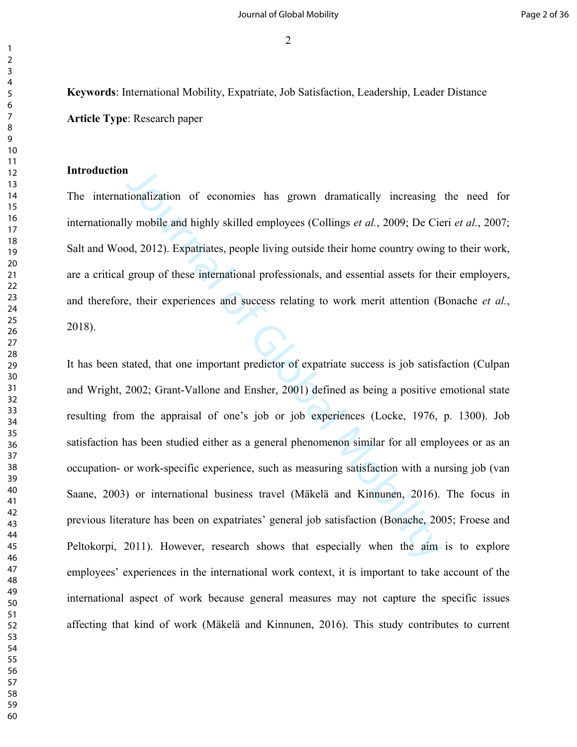**Keywords**: International Mobility, Expatriate, Job Satisfaction, Leadership, Leader Distance **Article Type**: Research paper

## **Introduction**

The internationalization of economies has grown dramatically increasing the need for internationally mobile and highly skilled employees (Collings *et al.*, 2009; De Cieri *et al.*, 2007; Salt and Wood, 2012). Expatriates, people living outside their home country owing to their work, are a critical group of these international professionals, and essential assets for their employers, and therefore, their experiences and success relating to work merit attention (Bonache *et al.*, 2018).

**IDENTIFY 10** is a grown dramatically increasing ly mobile and highly skilled employees (Collings *et al.*, 2009; De Cie old, 2012). Expatriates, people living outside their home country owing group of these international It has been stated, that one important predictor of expatriate success is job satisfaction (Culpan and Wright, 2002; Grant-Vallone and Ensher, 2001) defined as being a positive emotional state resulting from the appraisal of one's job or job experiences (Locke, 1976, p. 1300). Job satisfaction has been studied either as a general phenomenon similar for all employees or as an occupation- or work-specific experience, such as measuring satisfaction with a nursing job (van Saane, 2003) or international business travel (Mäkelä and Kinnunen, 2016). The focus in previous literature has been on expatriates' general job satisfaction (Bonache, 2005; Froese and Peltokorpi, 2011). However, research shows that especially when the aim is to explore employees' experiences in the international work context, it is important to take account of the international aspect of work because general measures may not capture the specific issues affecting that kind of work (Mäkelä and Kinnunen, 2016). This study contributes to current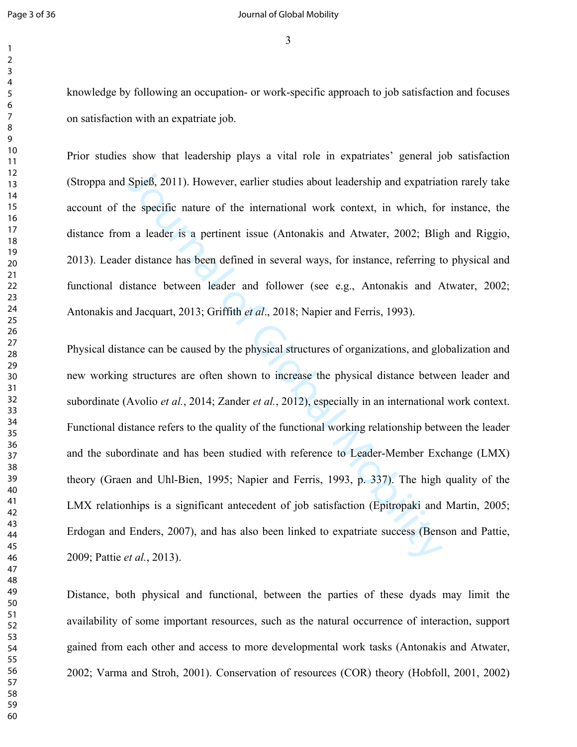knowledge by following an occupation- or work-specific approach to job satisfaction and focuses on satisfaction with an expatriate job.

Prior studies show that leadership plays a vital role in expatriates' general job satisfaction (Stroppa and Spieß, 2011). However, earlier studies about leadership and expatriation rarely take account of the specific nature of the international work context, in which, for instance, the distance from a leader is a pertinent issue (Antonakis and Atwater, 2002; Bligh and Riggio, 2013). Leader distance has been defined in several ways, for instance, referring to physical and functional distance between leader and follower (see e.g., Antonakis and Atwater, 2002; Antonakis and Jacquart, 2013; Griffith *et al*., 2018; Napier and Ferris, 1993).

Spieß, 2011). However, carlier studies about leadership and expatriat<br>he specific nature of the international work context, in which, for<br>n a leader is a pertinent issue (Antonakis and Atwater, 2002; Blig<br>r distance has b Physical distance can be caused by the physical structures of organizations, and globalization and new working structures are often shown to increase the physical distance between leader and subordinate (Avolio *et al.*, 2014; Zander *et al.*, 2012), especially in an international work context. Functional distance refers to the quality of the functional working relationship between the leader and the subordinate and has been studied with reference to Leader-Member Exchange (LMX) theory (Graen and Uhl-Bien, 1995; Napier and Ferris, 1993, p. 337). The high quality of the LMX relationhips is a significant antecedent of job satisfaction (Epitropaki and Martin, 2005; Erdogan and Enders, 2007), and has also been linked to expatriate success (Benson and Pattie, 2009; Pattie *et al.*, 2013).

Distance, both physical and functional, between the parties of these dyads may limit the availability of some important resources, such as the natural occurrence of interaction, support gained from each other and access to more developmental work tasks (Antonakis and Atwater, 2002; Varma and Stroh, 2001). Conservation of resources (COR) theory (Hobfoll, 2001, 2002)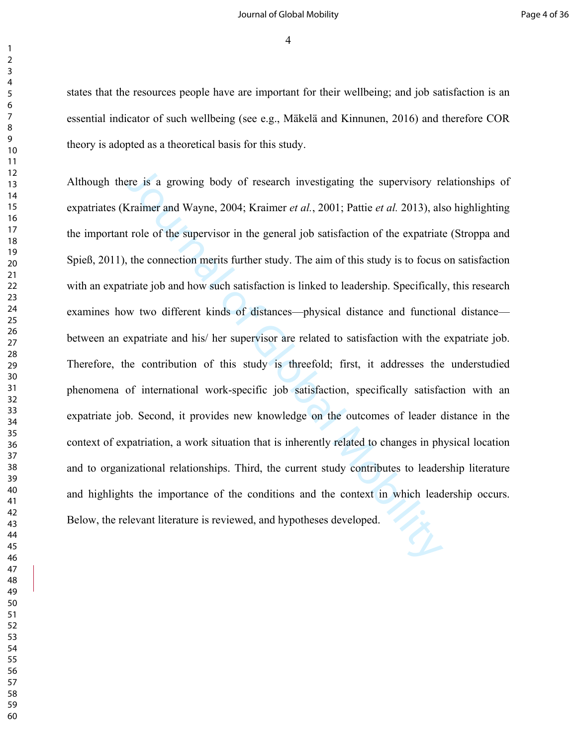#### Journal of Global Mobility Page 4 of 36

states that the resources people have are important for their wellbeing; and job satisfaction is an essential indicator of such wellbeing (see e.g., Mäkelä and Kinnunen, 2016) and therefore COR theory is adopted as a theoretical basis for this study.

Extrainer and Wayne, 2004; Kraimer *et al.*, 2001; Pattie *et al.* 2013), also resonant members of the supervisor of the supervisor of the supervisor in the general job satisfaction of the expatriat the connection merits f Although there is a growing body of research investigating the supervisory relationships of expatriates (Kraimer and Wayne, 2004; Kraimer *et al.*, 2001; Pattie *et al.* 2013), also highlighting the important role of the supervisor in the general job satisfaction of the expatriate (Stroppa and Spieß, 2011), the connection merits further study. The aim of this study is to focus on satisfaction with an expatriate job and how such satisfaction is linked to leadership. Specifically, this research examines how two different kinds of distances—physical distance and functional distance between an expatriate and his/ her supervisor are related to satisfaction with the expatriate job. Therefore, the contribution of this study is threefold; first, it addresses the understudied phenomena of international work-specific job satisfaction, specifically satisfaction with an expatriate job. Second, it provides new knowledge on the outcomes of leader distance in the context of expatriation, a work situation that is inherently related to changes in physical location and to organizational relationships. Third, the current study contributes to leadership literature and highlights the importance of the conditions and the context in which leadership occurs. Below, the relevant literature is reviewed, and hypotheses developed.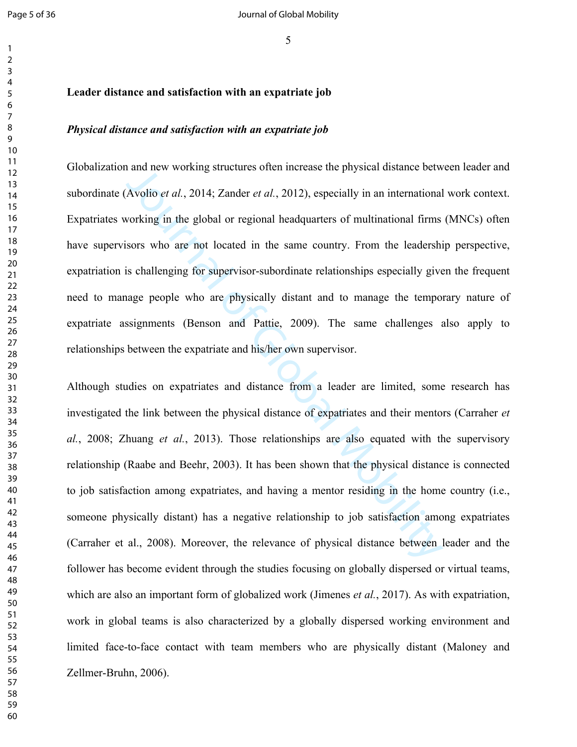#### 

#### **Leader distance and satisfaction with an expatriate job**

#### *Physical distance and satisfaction with an expatriate job*

and new working structures often increase the physical distance betw<br>Avolio *et al.*, 2014; Zander *et al.*, 2012), especially in an international<br>vorking in the global or regional headquarters of multinational firms<br>sors Globalization and new working structures often increase the physical distance between leader and subordinate (Avolio *et al.*, 2014; Zander *et al.*, 2012), especially in an international work context. Expatriates working in the global or regional headquarters of multinational firms (MNCs) often have supervisors who are not located in the same country. From the leadership perspective, expatriation is challenging for supervisor-subordinate relationships especially given the frequent need to manage people who are physically distant and to manage the temporary nature of expatriate assignments (Benson and Pattie, 2009). The same challenges also apply to relationships between the expatriate and his/her own supervisor.

Although studies on expatriates and distance from a leader are limited, some research has investigated the link between the physical distance of expatriates and their mentors (Carraher *et al.*, 2008; Zhuang *et al.*, 2013). Those relationships are also equated with the supervisory relationship (Raabe and Beehr, 2003). It has been shown that the physical distance is connected to job satisfaction among expatriates, and having a mentor residing in the home country (i.e., someone physically distant) has a negative relationship to job satisfaction among expatriates (Carraher et al., 2008). Moreover, the relevance of physical distance between leader and the follower has become evident through the studies focusing on globally dispersed or virtual teams, which are also an important form of globalized work (Jimenes *et al.*, 2017). As with expatriation, work in global teams is also characterized by a globally dispersed working environment and limited face-to-face contact with team members who are physically distant (Maloney and Zellmer-Bruhn, 2006).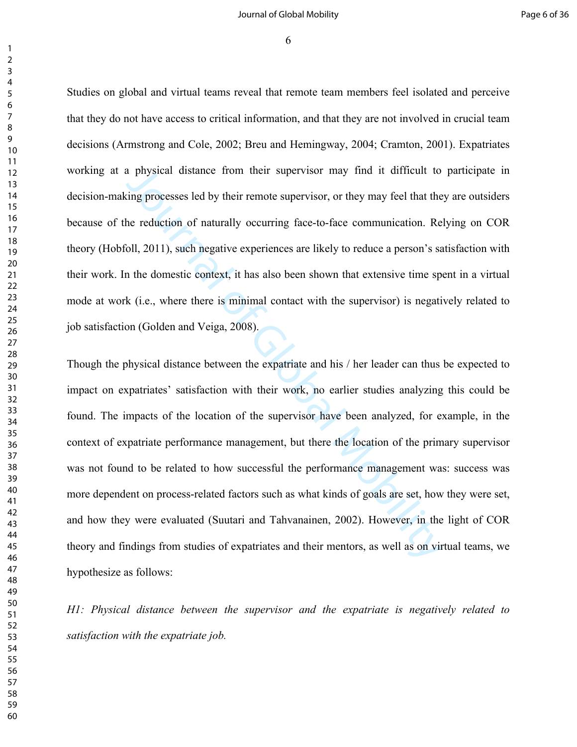#### Journal of Global Mobility Page 6 of 36

 

 

> Studies on global and virtual teams reveal that remote team members feel isolated and perceive that they do not have access to critical information, and that they are not involved in crucial team decisions (Armstrong and Cole, 2002; Breu and Hemingway, 2004; Cramton, 2001). Expatriates working at a physical distance from their supervisor may find it difficult to participate in decision-making processes led by their remote supervisor, or they may feel that they are outsiders because of the reduction of naturally occurring face-to-face communication. Relying on COR theory (Hobfoll, 2011), such negative experiences are likely to reduce a person's satisfaction with their work. In the domestic context, it has also been shown that extensive time spent in a virtual mode at work (i.e., where there is minimal contact with the supervisor) is negatively related to job satisfaction (Golden and Veiga, 2008).

> a physical distance from their supervisor may find it difficult to<br>ting processes led by their remote supervisor, or they may feel that the<br>he reduction of naturally occurring face-to-face communication. Re<br>ioll, 2011), su Though the physical distance between the expatriate and his / her leader can thus be expected to impact on expatriates' satisfaction with their work, no earlier studies analyzing this could be found. The impacts of the location of the supervisor have been analyzed, for example, in the context of expatriate performance management, but there the location of the primary supervisor was not found to be related to how successful the performance management was: success was more dependent on process-related factors such as what kinds of goals are set, how they were set, and how they were evaluated (Suutari and Tahvanainen, 2002). However, in the light of COR theory and findings from studies of expatriates and their mentors, as well as on virtual teams, we hypothesize as follows:

> *H1: Physical distance between the supervisor and the expatriate is negatively related to satisfaction with the expatriate job.*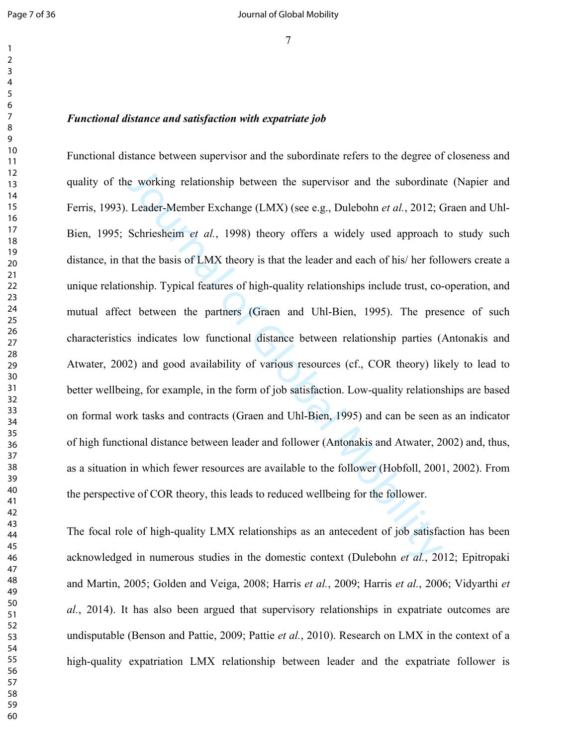#### *Functional distance and satisfaction with expatriate job*

is used working relationship between the supervisor and the subordinat I.eader-Member Exchange (I.MX) (see e.g., Dulebohn *et al.*, 2012; C Schriesheim *et al.*, 1998) theory offers a widely used approach that the basis o Functional distance between supervisor and the subordinate refers to the degree of closeness and quality of the working relationship between the supervisor and the subordinate (Napier and Ferris, 1993). Leader-Member Exchange (LMX) (see e.g., Dulebohn *et al.*, 2012; Graen and Uhl-Bien, 1995; Schriesheim *et al.*, 1998) theory offers a widely used approach to study such distance, in that the basis of LMX theory is that the leader and each of his/ her followers create a unique relationship. Typical features of high-quality relationships include trust, co-operation, and mutual affect between the partners (Graen and Uhl-Bien, 1995). The presence of such characteristics indicates low functional distance between relationship parties (Antonakis and Atwater, 2002) and good availability of various resources (cf., COR theory) likely to lead to better wellbeing, for example, in the form of job satisfaction. Low-quality relationships are based on formal work tasks and contracts (Graen and Uhl-Bien, 1995) and can be seen as an indicator of high functional distance between leader and follower (Antonakis and Atwater, 2002) and, thus, as a situation in which fewer resources are available to the follower (Hobfoll, 2001, 2002). From the perspective of COR theory, this leads to reduced wellbeing for the follower.

The focal role of high-quality LMX relationships as an antecedent of job satisfaction has been acknowledged in numerous studies in the domestic context (Dulebohn *et al.*, 2012; Epitropaki and Martin, 2005; Golden and Veiga, 2008; Harris *et al.*, 2009; Harris *et al.*, 2006; Vidyarthi *et al.*, 2014). It has also been argued that supervisory relationships in expatriate outcomes are undisputable (Benson and Pattie, 2009; Pattie *et al.*, 2010). Research on LMX in the context of a high-quality expatriation LMX relationship between leader and the expatriate follower is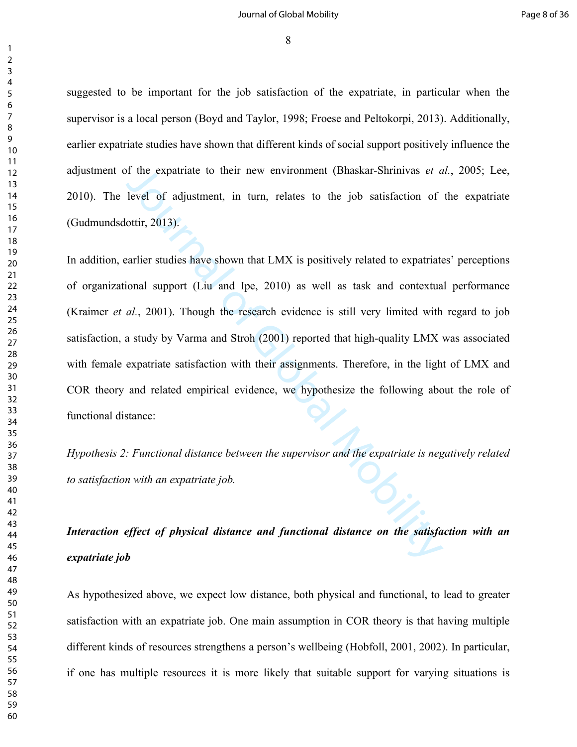#### Journal of Global Mobility Page 8 of 36

suggested to be important for the job satisfaction of the expatriate, in particular when the supervisor is a local person (Boyd and Taylor, 1998; Froese and Peltokorpi, 2013). Additionally, earlier expatriate studies have shown that different kinds of social support positively influence the adjustment of the expatriate to their new environment (Bhaskar-Shrinivas *et al.*, 2005; Lee, 2010). The level of adjustment, in turn, relates to the job satisfaction of the expatriate (Gudmundsdottir, 2013).

of the expatriate to their new environment (Bhaskar-Shrinivas *et a* level of adjustment, in turn, relates to the job satisfaction of ottir, 2013).<br>
Earlier studies have shown that LMX is positively related to expatriate<br> In addition, earlier studies have shown that LMX is positively related to expatriates' perceptions of organizational support (Liu and Ipe, 2010) as well as task and contextual performance (Kraimer *et al.*, 2001). Though the research evidence is still very limited with regard to job satisfaction, a study by Varma and Stroh (2001) reported that high-quality LMX was associated with female expatriate satisfaction with their assignments. Therefore, in the light of LMX and COR theory and related empirical evidence, we hypothesize the following about the role of functional distance:

*Hypothesis 2: Functional distance between the supervisor and the expatriate is negatively related to satisfaction with an expatriate job.*

# *Interaction effect of physical distance and functional distance on the satisfaction with an expatriate job*

As hypothesized above, we expect low distance, both physical and functional, to lead to greater satisfaction with an expatriate job. One main assumption in COR theory is that having multiple different kinds of resources strengthens a person's wellbeing (Hobfoll, 2001, 2002). In particular, if one has multiple resources it is more likely that suitable support for varying situations is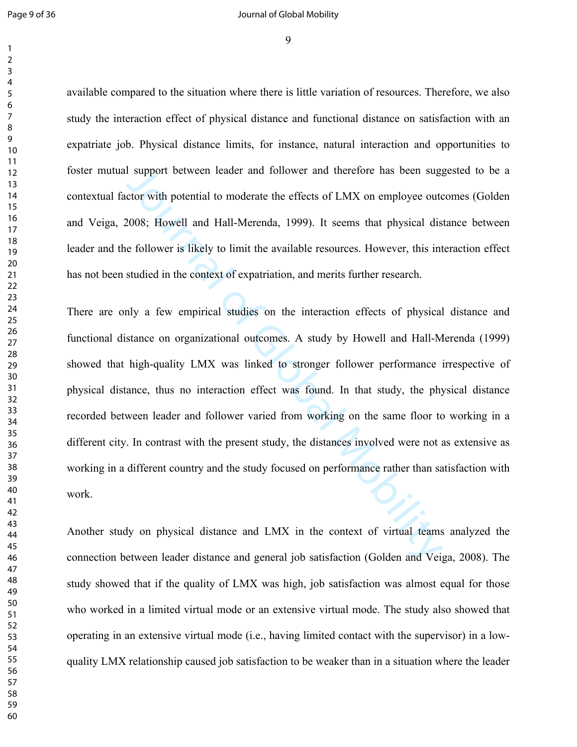available compared to the situation where there is little variation of resources. Therefore, we also study the interaction effect of physical distance and functional distance on satisfaction with an expatriate job. Physical distance limits, for instance, natural interaction and opportunities to foster mutual support between leader and follower and therefore has been suggested to be a contextual factor with potential to moderate the effects of LMX on employee outcomes (Golden and Veiga, 2008; Howell and Hall-Merenda, 1999). It seems that physical distance between leader and the follower is likely to limit the available resources. However, this interaction effect has not been studied in the context of expatriation, and merits further research.

I support between leader and follower and therefore has been suggetor with potential to moderate the effects of LMX on employee out<br>2008; Howell and Hall-Merenda, 1999). It seems that physical dis<br>6 follower is likely to l There are only a few empirical studies on the interaction effects of physical distance and functional distance on organizational outcomes. A study by Howell and Hall-Merenda (1999) showed that high-quality LMX was linked to stronger follower performance irrespective of physical distance, thus no interaction effect was found. In that study, the physical distance recorded between leader and follower varied from working on the same floor to working in a different city. In contrast with the present study, the distances involved were not as extensive as working in a different country and the study focused on performance rather than satisfaction with work.

Another study on physical distance and LMX in the context of virtual teams analyzed the connection between leader distance and general job satisfaction (Golden and Veiga, 2008). The study showed that if the quality of LMX was high, job satisfaction was almost equal for those who worked in a limited virtual mode or an extensive virtual mode. The study also showed that operating in an extensive virtual mode (i.e., having limited contact with the supervisor) in a lowquality LMX relationship caused job satisfaction to be weaker than in a situation where the leader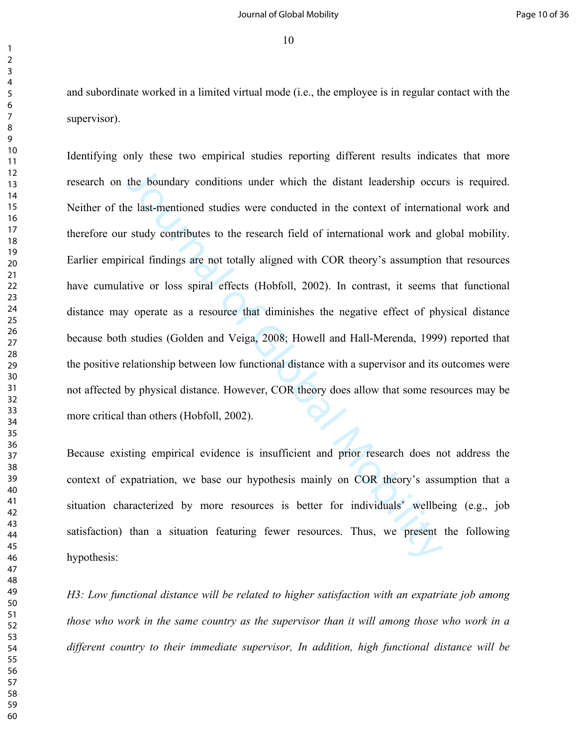and subordinate worked in a limited virtual mode (i.e., the employee is in regular contact with the supervisor).

the boundary conditions under which the distant leadership occurred last-mentioned studies were conducted in the context of international study contributes to the research field of international work and glived first indin Identifying only these two empirical studies reporting different results indicates that more research on the boundary conditions under which the distant leadership occurs is required. Neither of the last-mentioned studies were conducted in the context of international work and therefore our study contributes to the research field of international work and global mobility. Earlier empirical findings are not totally aligned with COR theory's assumption that resources have cumulative or loss spiral effects (Hobfoll, 2002). In contrast, it seems that functional distance may operate as a resource that diminishes the negative effect of physical distance because both studies (Golden and Veiga, 2008; Howell and Hall-Merenda, 1999) reported that the positive relationship between low functional distance with a supervisor and its outcomes were not affected by physical distance. However, COR theory does allow that some resources may be more critical than others (Hobfoll, 2002).

Because existing empirical evidence is insufficient and prior research does not address the context of expatriation, we base our hypothesis mainly on COR theory's assumption that a situation characterized by more resources is better for individuals' wellbeing (e.g., job satisfaction) than a situation featuring fewer resources. Thus, we present the following hypothesis:

*H3: Low functional distance will be related to higher satisfaction with an expatriate job among those who work in the same country as the supervisor than it will among those who work in a different country to their immediate supervisor, In addition, high functional distance will be*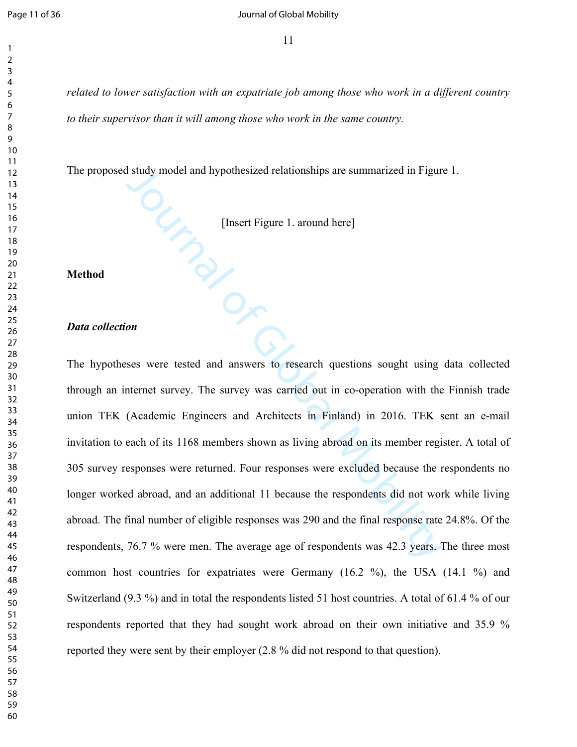*related to lower satisfaction with an expatriate job among those who work in a different country to their supervisor than it will among those who work in the same country.*

The proposed study model and hypothesized relationships are summarized in Figure 1.

[Insert Figure 1. around here]

**Method**

#### *Data collection*

I study model and hypothesized relationships are summarized in Figure<br>
[Insert Figure 1. around here]<br>
Insert Figure 1. around here]<br> **Only Equal Mobility 1.** The survey was carried out in co-operation with the<br>
(Academic The hypotheses were tested and answers to research questions sought using data collected through an internet survey. The survey was carried out in co-operation with the Finnish trade union TEK (Academic Engineers and Architects in Finland) in 2016. TEK sent an e-mail invitation to each of its 1168 members shown as living abroad on its member register. A total of 305 survey responses were returned. Four responses were excluded because the respondents no longer worked abroad, and an additional 11 because the respondents did not work while living abroad. The final number of eligible responses was 290 and the final response rate 24.8%. Of the respondents, 76.7 % were men. The average age of respondents was 42.3 years. The three most common host countries for expatriates were Germany (16.2 %), the USA (14.1 %) and Switzerland (9.3 %) and in total the respondents listed 51 host countries. A total of 61.4 % of our respondents reported that they had sought work abroad on their own initiative and 35.9 % reported they were sent by their employer (2.8 % did not respond to that question).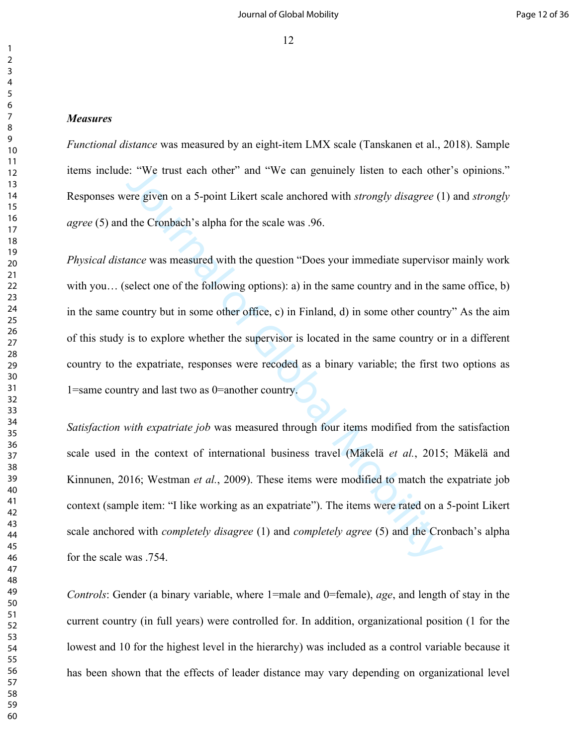#### *Measures*

*Functional distance* was measured by an eight-item LMX scale (Tanskanen et al., 2018). Sample items include: "We trust each other" and "We can genuinely listen to each other's opinions." Responses were given on a 5-point Likert scale anchored with *strongly disagree* (1) and *strongly agree* (5) and the Cronbach's alpha for the scale was .96.

is: "We trust each other" and "We can genuinely listen to each othere given on a 5-point Likert scale anchored with *strongly disagree* (1 the Cronbach's alpha for the scale was .96.<br> *ance* was measured with the question *Physical distance* was measured with the question "Does your immediate supervisor mainly work with you... (select one of the following options): a) in the same country and in the same office, b) in the same country but in some other office, c) in Finland, d) in some other country" As the aim of this study is to explore whether the supervisor is located in the same country or in a different country to the expatriate, responses were recoded as a binary variable; the first two options as 1=same country and last two as 0=another country.

*Satisfaction with expatriate job* was measured through four items modified from the satisfaction scale used in the context of international business travel (Mäkelä *et al.*, 2015; Mäkelä and Kinnunen, 2016; Westman *et al.*, 2009). These items were modified to match the expatriate job context (sample item: "I like working as an expatriate"). The items were rated on a 5-point Likert scale anchored with *completely disagree* (1) and *completely agree* (5) and the Cronbach's alpha for the scale was .754.

*Controls*: Gender (a binary variable, where 1=male and 0=female), *age*, and length of stay in the current country (in full years) were controlled for. In addition, organizational position (1 for the lowest and 10 for the highest level in the hierarchy) was included as a control variable because it has been shown that the effects of leader distance may vary depending on organizational level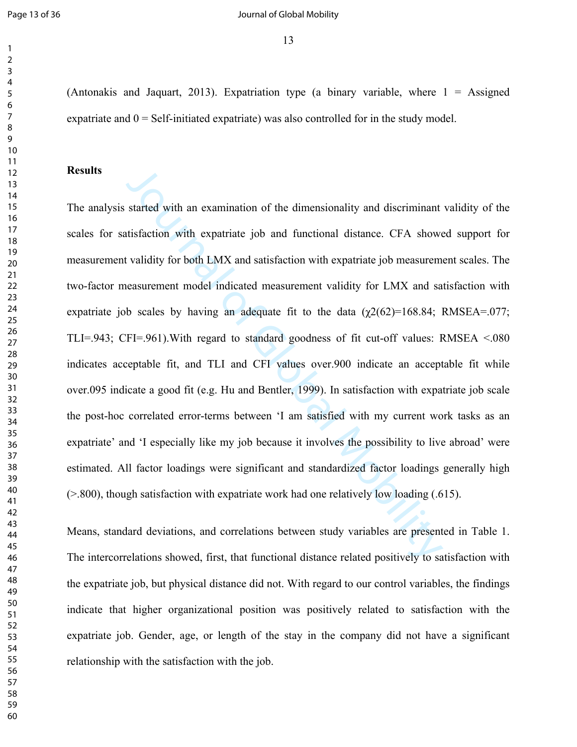#### Page 13 of 36 **Decision 12 of 36** Journal of Global Mobility

(Antonakis and Jaquart, 2013). Expatriation type (a binary variable, where  $1 =$  Assigned expatriate and  $0 = Self$ -initiated expatriate) was also controlled for in the study model.

# **Results**

started with an examination of the dimensionality and discriminant<br>trisfaction with expatriate job and functional distance. CFA showe<br>validity for both LMX and satisfaction with expatriate job measureme<br>teasurement model i The analysis started with an examination of the dimensionality and discriminant validity of the scales for satisfaction with expatriate job and functional distance. CFA showed support for measurement validity for both LMX and satisfaction with expatriate job measurement scales. The two-factor measurement model indicated measurement validity for LMX and satisfaction with expatriate job scales by having an adequate fit to the data  $(\chi^2)(62)=168.84$ ; RMSEA=.077; TLI=.943; CFI=.961).With regard to standard goodness of fit cut-off values: RMSEA <.080 indicates acceptable fit, and TLI and CFI values over.900 indicate an acceptable fit while over.095 indicate a good fit (e.g. Hu and Bentler, 1999). In satisfaction with expatriate job scale the post-hoc correlated error-terms between 'I am satisfied with my current work tasks as an expatriate' and 'I especially like my job because it involves the possibility to live abroad' were estimated. All factor loadings were significant and standardized factor loadings generally high (>.800), though satisfaction with expatriate work had one relatively low loading (.615).

Means, standard deviations, and correlations between study variables are presented in Table 1. The intercorrelations showed, first, that functional distance related positively to satisfaction with the expatriate job, but physical distance did not. With regard to our control variables, the findings indicate that higher organizational position was positively related to satisfaction with the expatriate job. Gender, age, or length of the stay in the company did not have a significant relationship with the satisfaction with the job.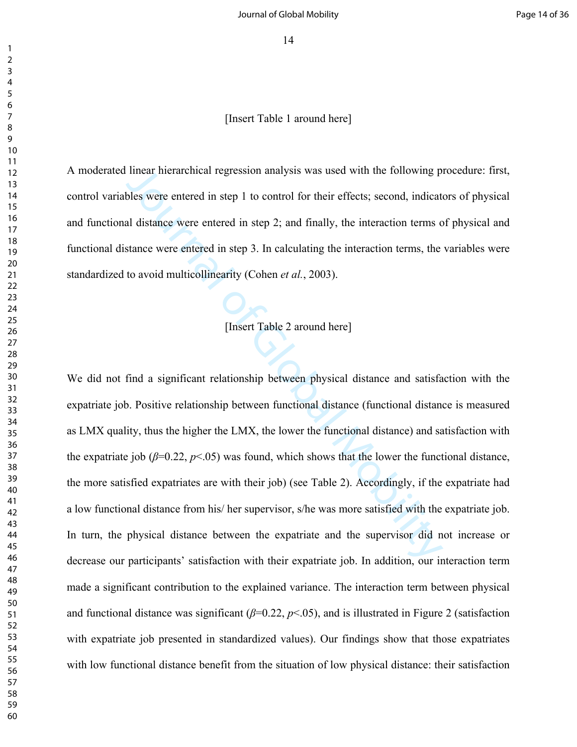[Insert Table 1 around here]

A moderated linear hierarchical regression analysis was used with the following procedure: first, control variables were entered in step 1 to control for their effects; second, indicators of physical and functional distance were entered in step 2; and finally, the interaction terms of physical and functional distance were entered in step 3. In calculating the interaction terms, the variables were standardized to avoid multicollinearity (Cohen *et al.*, 2003).

[Insert Table 2 around here]

linear hierarchical regression analysis was used with the following p<br>bles were entered in step 1 to control for their effects; second, indicat<br>al distance were entered in step 2; and finally, the interaction terms of<br>sta We did not find a significant relationship between physical distance and satisfaction with the expatriate job. Positive relationship between functional distance (functional distance is measured as LMX quality, thus the higher the LMX, the lower the functional distance) and satisfaction with the expatriate job ( $\beta$ =0.22,  $p$ <.05) was found, which shows that the lower the functional distance, the more satisfied expatriates are with their job) (see Table 2). Accordingly, if the expatriate had a low functional distance from his/ her supervisor, s/he was more satisfied with the expatriate job. In turn, the physical distance between the expatriate and the supervisor did not increase or decrease our participants' satisfaction with their expatriate job. In addition, our interaction term made a significant contribution to the explained variance. The interaction term between physical and functional distance was significant  $(\beta=0.22, p<.05)$ , and is illustrated in Figure 2 (satisfaction with expatriate job presented in standardized values). Our findings show that those expatriates with low functional distance benefit from the situation of low physical distance: their satisfaction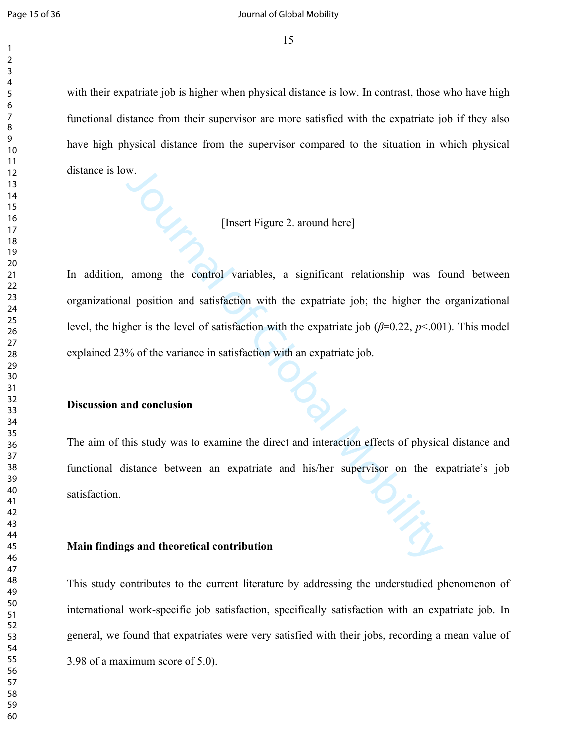#### Page 15 of 36 **Decision 12** Journal of Global Mobility

with their expatriate job is higher when physical distance is low. In contrast, those who have high functional distance from their supervisor are more satisfied with the expatriate job if they also have high physical distance from the supervisor compared to the situation in which physical distance is low.

# [Insert Figure 2. around here]

W.<br>
[Insert Figure 2. around here]<br>
among the control variables, a significant relationship was foul position and satisfaction with the expatriate job; the higher the<br>
ther is the level of satisfaction with the expatriate In addition, among the control variables, a significant relationship was found between organizational position and satisfaction with the expatriate job; the higher the organizational level, the higher is the level of satisfaction with the expatriate job (*β*=0.22, *p*<.001). This model explained 23% of the variance in satisfaction with an expatriate job.

## **Discussion and conclusion**

The aim of this study was to examine the direct and interaction effects of physical distance and functional distance between an expatriate and his/her supervisor on the expatriate's job satisfaction.

#### **Main findings and theoretical contribution**

This study contributes to the current literature by addressing the understudied phenomenon of international work-specific job satisfaction, specifically satisfaction with an expatriate job. In general, we found that expatriates were very satisfied with their jobs, recording a mean value of 3.98 of a maximum score of 5.0).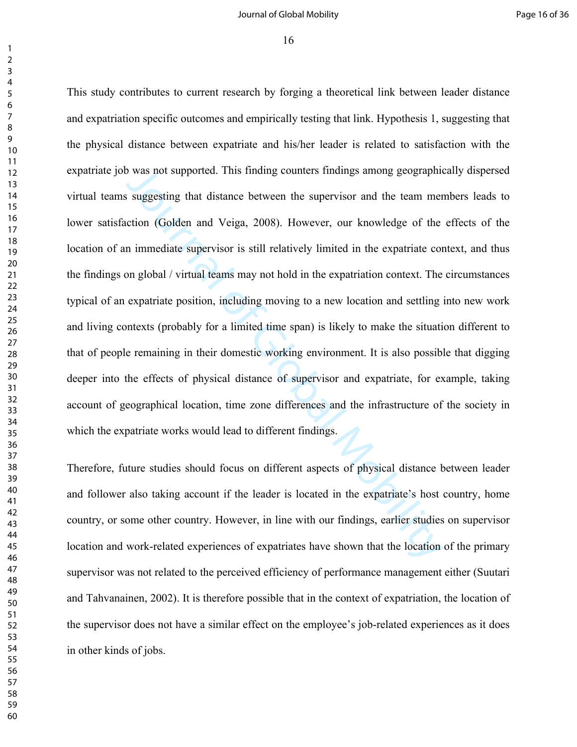#### Journal of Global Mobility **Page 16 of 36**

 

> by was not supported. This finding counters findings among geographic<br>suggesting that distance between the supervisor and the team mer<br>ection (Golden and Veiga, 2008). However, our knowledge of the<br>n immediate supervisor i This study contributes to current research by forging a theoretical link between leader distance and expatriation specific outcomes and empirically testing that link. Hypothesis 1, suggesting that the physical distance between expatriate and his/her leader is related to satisfaction with the expatriate job was not supported. This finding counters findings among geographically dispersed virtual teams suggesting that distance between the supervisor and the team members leads to lower satisfaction (Golden and Veiga, 2008). However, our knowledge of the effects of the location of an immediate supervisor is still relatively limited in the expatriate context, and thus the findings on global / virtual teams may not hold in the expatriation context. The circumstances typical of an expatriate position, including moving to a new location and settling into new work and living contexts (probably for a limited time span) is likely to make the situation different to that of people remaining in their domestic working environment. It is also possible that digging deeper into the effects of physical distance of supervisor and expatriate, for example, taking account of geographical location, time zone differences and the infrastructure of the society in which the expatriate works would lead to different findings.

> Therefore, future studies should focus on different aspects of physical distance between leader and follower also taking account if the leader is located in the expatriate's host country, home country, or some other country. However, in line with our findings, earlier studies on supervisor location and work-related experiences of expatriates have shown that the location of the primary supervisor was not related to the perceived efficiency of performance management either (Suutari and Tahvanainen, 2002). It is therefore possible that in the context of expatriation, the location of the supervisor does not have a similar effect on the employee's job-related experiences as it does in other kinds of jobs.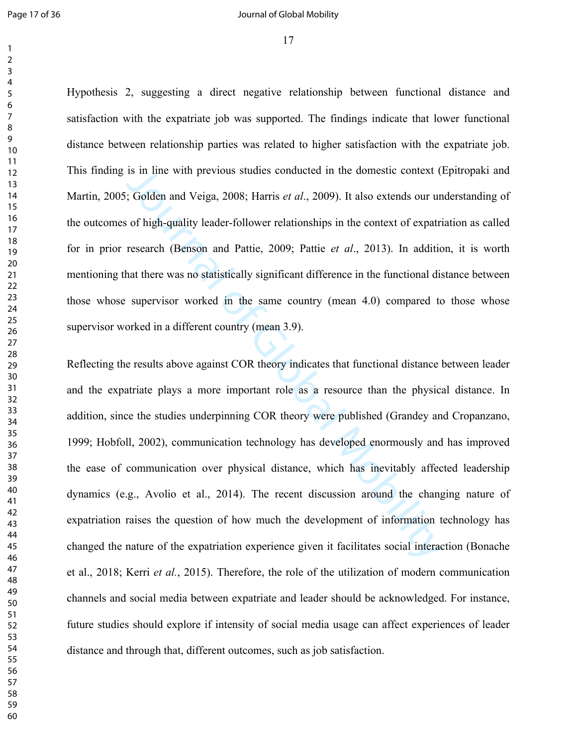#### Page 17 of 36 **Page 17** of 36 **Journal of Global Mobility**

Hypothesis 2, suggesting a direct negative relationship between functional distance and satisfaction with the expatriate job was supported. The findings indicate that lower functional distance between relationship parties was related to higher satisfaction with the expatriate job. This finding is in line with previous studies conducted in the domestic context (Epitropaki and Martin, 2005; Golden and Veiga, 2008; Harris *et al*., 2009). It also extends our understanding of the outcomes of high-quality leader-follower relationships in the context of expatriation as called for in prior research (Benson and Pattie, 2009; Pattie *et al*., 2013). In addition, it is worth mentioning that there was no statistically significant difference in the functional distance between those whose supervisor worked in the same country (mean 4.0) compared to those whose supervisor worked in a different country (mean 3.9).

is in line with previous studies conducted in the domestic context (1)<br>  $\zeta$  Golden and Veiga, 2008; Harris *et al.*, 2009). It also extends our un<br>
of high-quality leader-follower relationships in the context of expatri Reflecting the results above against COR theory indicates that functional distance between leader and the expatriate plays a more important role as a resource than the physical distance. In addition, since the studies underpinning COR theory were published (Grandey and Cropanzano, 1999; Hobfoll, 2002), communication technology has developed enormously and has improved the ease of communication over physical distance, which has inevitably affected leadership dynamics (e.g., Avolio et al., 2014). The recent discussion around the changing nature of expatriation raises the question of how much the development of information technology has changed the nature of the expatriation experience given it facilitates social interaction (Bonache et al., 2018; Kerri *et al.*, 2015). Therefore, the role of the utilization of modern communication channels and social media between expatriate and leader should be acknowledged. For instance, future studies should explore if intensity of social media usage can affect experiences of leader distance and through that, different outcomes, such as job satisfaction.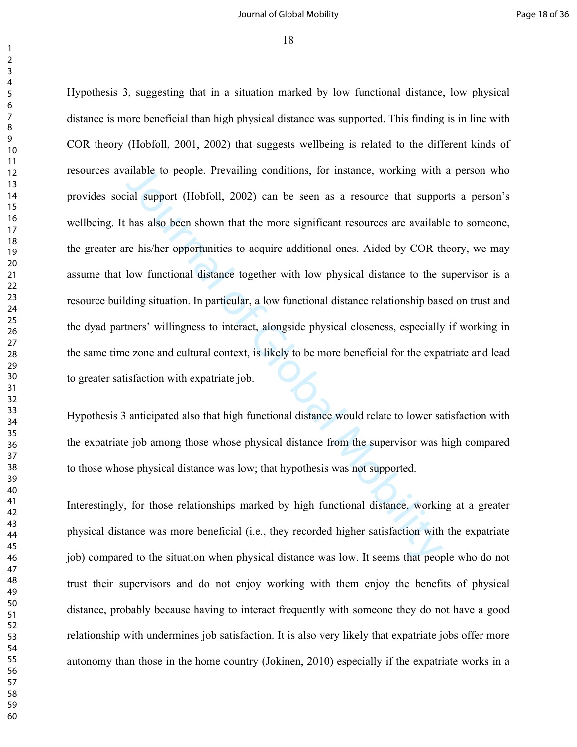#### Journal of Global Mobility **Page 18 of 36**

 

> ailable to people. Prevailing conditions, for instance, working with<br>ial support (Hobfoll, 2002) can be seen as a resource that suppo<br>has also been shown that the more significant resources are availabl<br>re his/her opportun Hypothesis 3, suggesting that in a situation marked by low functional distance, low physical distance is more beneficial than high physical distance was supported. This finding is in line with COR theory (Hobfoll, 2001, 2002) that suggests wellbeing is related to the different kinds of resources available to people. Prevailing conditions, for instance, working with a person who provides social support (Hobfoll, 2002) can be seen as a resource that supports a person's wellbeing. It has also been shown that the more significant resources are available to someone, the greater are his/her opportunities to acquire additional ones. Aided by COR theory, we may assume that low functional distance together with low physical distance to the supervisor is a resource building situation. In particular, a low functional distance relationship based on trust and the dyad partners' willingness to interact, alongside physical closeness, especially if working in the same time zone and cultural context, is likely to be more beneficial for the expatriate and lead to greater satisfaction with expatriate job.

> Hypothesis 3 anticipated also that high functional distance would relate to lower satisfaction with the expatriate job among those whose physical distance from the supervisor was high compared to those whose physical distance was low; that hypothesis was not supported.

> Interestingly, for those relationships marked by high functional distance, working at a greater physical distance was more beneficial (i.e., they recorded higher satisfaction with the expatriate job) compared to the situation when physical distance was low. It seems that people who do not trust their supervisors and do not enjoy working with them enjoy the benefits of physical distance, probably because having to interact frequently with someone they do not have a good relationship with undermines job satisfaction. It is also very likely that expatriate jobs offer more autonomy than those in the home country (Jokinen, 2010) especially if the expatriate works in a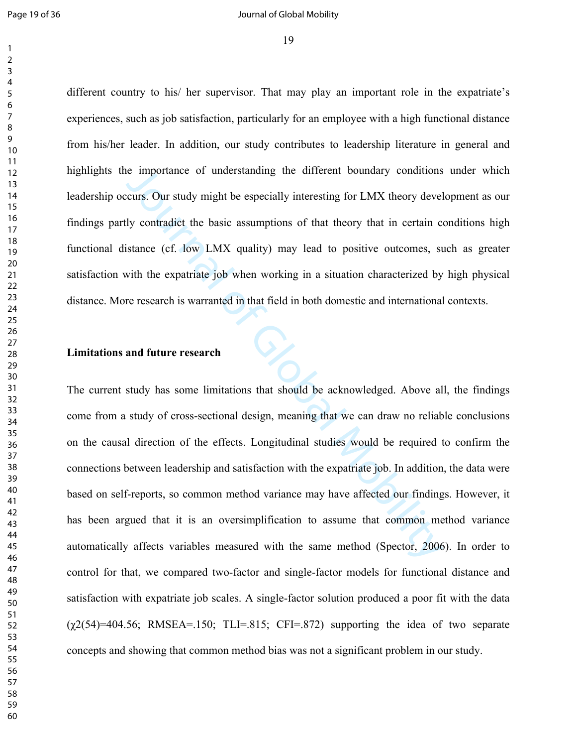#### Page 19 of 36 **Page 19 of 36** Journal of Global Mobility

different country to his/ her supervisor. That may play an important role in the expatriate's experiences, such as job satisfaction, particularly for an employee with a high functional distance from his/her leader. In addition, our study contributes to leadership literature in general and highlights the importance of understanding the different boundary conditions under which leadership occurs. Our study might be especially interesting for LMX theory development as our findings partly contradict the basic assumptions of that theory that in certain conditions high functional distance (cf. low LMX quality) may lead to positive outcomes, such as greater satisfaction with the expatriate job when working in a situation characterized by high physical distance. More research is warranted in that field in both domestic and international contexts.

## **Limitations and future research**

is importance of understanding the different boundary conditions<br>curs. Our study might be especially interesting for LMX theory devel<br>by contradict the basic assumptions of that theory that in certain co<br>istance (cf. low L The current study has some limitations that should be acknowledged. Above all, the findings come from a study of cross-sectional design, meaning that we can draw no reliable conclusions on the causal direction of the effects. Longitudinal studies would be required to confirm the connections between leadership and satisfaction with the expatriate job. In addition, the data were based on self-reports, so common method variance may have affected our findings. However, it has been argued that it is an oversimplification to assume that common method variance automatically affects variables measured with the same method (Spector, 2006). In order to control for that, we compared two-factor and single-factor models for functional distance and satisfaction with expatriate job scales. A single-factor solution produced a poor fit with the data  $(\gamma 2(54)=404.56$ ; RMSEA=.150; TLI=.815; CFI=.872) supporting the idea of two separate concepts and showing that common method bias was not a significant problem in our study.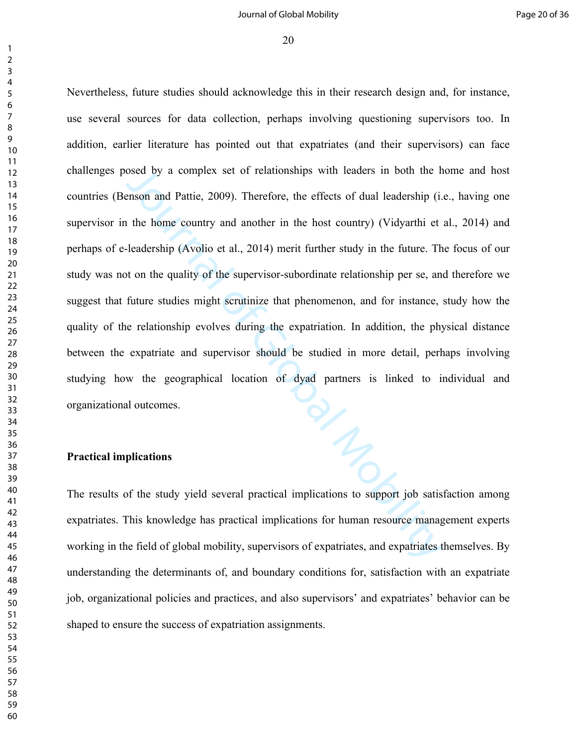#### Journal of Global Mobility **Page 20 of 36**

 

> osed by a complex set of relationships with leaders in both the h<br>enson and Pattie, 2009). Therefore, the effects of dual leadership (i.<br>the home country and another in the host country) (Vidyarthi et<br>-leadership (Avolio e Nevertheless, future studies should acknowledge this in their research design and, for instance, use several sources for data collection, perhaps involving questioning supervisors too. In addition, earlier literature has pointed out that expatriates (and their supervisors) can face challenges posed by a complex set of relationships with leaders in both the home and host countries (Benson and Pattie, 2009). Therefore, the effects of dual leadership (i.e., having one supervisor in the home country and another in the host country) (Vidyarthi et al., 2014) and perhaps of e-leadership (Avolio et al., 2014) merit further study in the future. The focus of our study was not on the quality of the supervisor-subordinate relationship per se, and therefore we suggest that future studies might scrutinize that phenomenon, and for instance, study how the quality of the relationship evolves during the expatriation. In addition, the physical distance between the expatriate and supervisor should be studied in more detail, perhaps involving studying how the geographical location of dyad partners is linked to individual and organizational outcomes.

#### **Practical implications**

The results of the study yield several practical implications to support job satisfaction among expatriates. This knowledge has practical implications for human resource management experts working in the field of global mobility, supervisors of expatriates, and expatriates themselves. By understanding the determinants of, and boundary conditions for, satisfaction with an expatriate job, organizational policies and practices, and also supervisors' and expatriates' behavior can be shaped to ensure the success of expatriation assignments.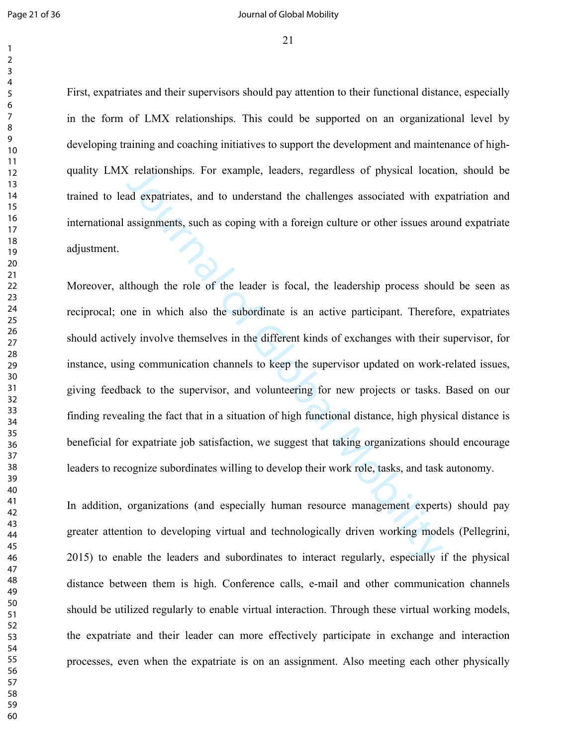#### Page 21 of 36 **Decision 20 August 20 August 20 August 20 August 20 August 20 August 20 August 20 August 20 August 20 August 20 August 20 August 20 August 20 August 20 August 20 August 20 August 20 August 20 August 20 Augus**

First, expatriates and their supervisors should pay attention to their functional distance, especially in the form of LMX relationships. This could be supported on an organizational level by developing training and coaching initiatives to support the development and maintenance of highquality LMX relationships. For example, leaders, regardless of physical location, should be trained to lead expatriates, and to understand the challenges associated with expatriation and international assignments, such as coping with a foreign culture or other issues around expatriate adjustment.

Constantian Expert Constantingly, leaders, regardless of physical locatiant and expatriates, and to understand the challenges associated with exassignments, such as coping with a foreign culture or other issues are assignm Moreover, although the role of the leader is focal, the leadership process should be seen as reciprocal; one in which also the subordinate is an active participant. Therefore, expatriates should actively involve themselves in the different kinds of exchanges with their supervisor, for instance, using communication channels to keep the supervisor updated on work-related issues, giving feedback to the supervisor, and volunteering for new projects or tasks. Based on our finding revealing the fact that in a situation of high functional distance, high physical distance is beneficial for expatriate job satisfaction, we suggest that taking organizations should encourage leaders to recognize subordinates willing to develop their work role, tasks, and task autonomy.

In addition, organizations (and especially human resource management experts) should pay greater attention to developing virtual and technologically driven working models (Pellegrini, 2015) to enable the leaders and subordinates to interact regularly, especially if the physical distance between them is high. Conference calls, e-mail and other communication channels should be utilized regularly to enable virtual interaction. Through these virtual working models, the expatriate and their leader can more effectively participate in exchange and interaction processes, even when the expatriate is on an assignment. Also meeting each other physically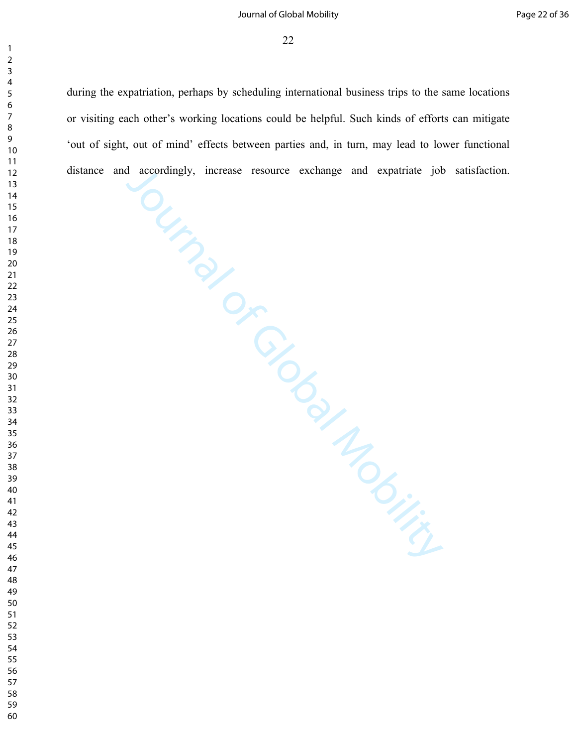#### Journal of Global Mobility **Accord 20 and 20 and 20 and 20 and 20 and 20 and 20 and 20 and 20 and 36**

distance and accordingly, increase resource exchange and expatriate job satisfaction.<br>
and accordingly, increase resource exchange and expatriate job satisfaction.<br>
Contract on the satisfaction. during the expatriation, perhaps by scheduling international business trips to the same locations or visiting each other's working locations could be helpful. Such kinds of efforts can mitigate 'out of sight, out of mind' effects between parties and, in turn, may lead to lower functional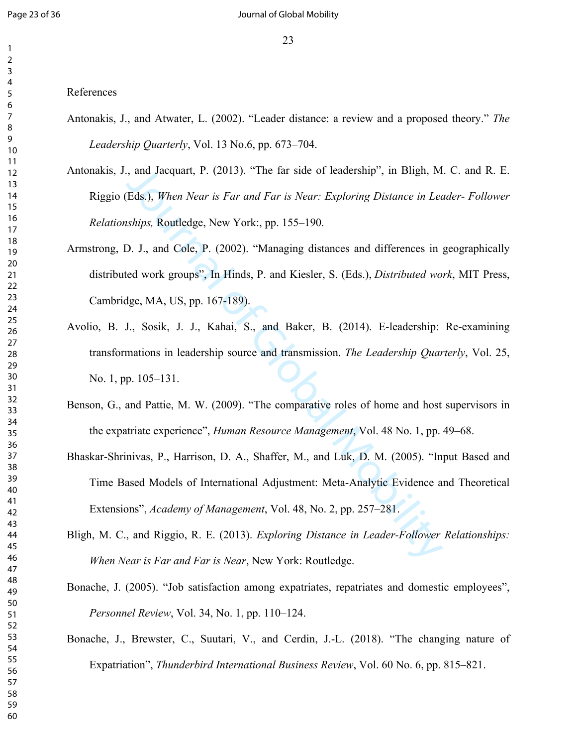#### References

- Antonakis, J., and Atwater, L. (2002). "Leader distance: a review and a proposed theory." *The Leadership Quarterly*, Vol. 13 No.6, pp. 673–704.
- Antonakis, J., and Jacquart, P. (2013). "The far side of leadership", in Bligh, M. C. and R. E. Riggio (Eds.), *When Near is Far and Far is Near: Exploring Distance in Leader- Follower Relationships,* Routledge, New York:, pp. 155–190.
- Armstrong, D. J., and Cole, P. (2002). "Managing distances and differences in geographically distributed work groups", In Hinds, P. and Kiesler, S. (Eds.), *Distributed work*, MIT Press, Cambridge, MA, US, pp. 167-189).
- , and Jacquart, P. (2013). "The far side of leadership", in Bligh, M<br>Eds.), *When Near is Far and Far is Near: Exploring Distance in Let*<br>ships, Routledge, New York:, pp. 155–190.<br>D. J., and Cole, P. (2002). "Managing dist Avolio, B. J., Sosik, J. J., Kahai, S., and Baker, B. (2014). E-leadership: Re-examining transformations in leadership source and transmission. *The Leadership Quarterly*, Vol. 25, No. 1, pp. 105–131.
- Benson, G., and Pattie, M. W. (2009). "The comparative roles of home and host supervisors in the expatriate experience", *Human Resource Management*, Vol. 48 No. 1, pp. 49–68.
- Bhaskar-Shrinivas, P., Harrison, D. A., Shaffer, M., and Luk, D. M. (2005). "Input Based and Time Based Models of International Adjustment: Meta-Analytic Evidence and Theoretical Extensions", *Academy of Management*, Vol. 48, No. 2, pp. 257–281.
- Bligh, M. C., and Riggio, R. E. (2013). *Exploring Distance in Leader-Follower Relationships: When Near is Far and Far is Near*, New York: Routledge.
- Bonache, J. (2005). "Job satisfaction among expatriates, repatriates and domestic employees", *Personnel Review*, Vol. 34, No. 1, pp. 110–124.
- Bonache, J., Brewster, C., Suutari, V., and Cerdin, J.-L. (2018). "The changing nature of Expatriation", *Thunderbird International Business Review*, Vol. 60 No. 6, pp. 815–821.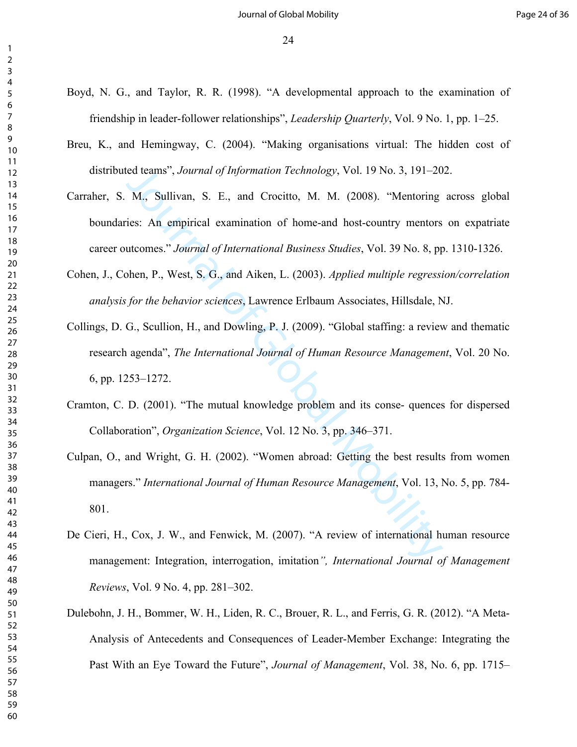- Boyd, N. G., and Taylor, R. R. (1998). "A developmental approach to the examination of friendship in leader-follower relationships", *Leadership Quarterly*, Vol. 9 No. 1, pp. 1–25.
- Breu, K., and Hemingway, C. (2004). "Making organisations virtual: The hidden cost of distributed teams", *Journal of Information Technology*, Vol. 19 No. 3, 191–202.
- ied teams", *Journal of Information Technology*, Vol. 19 No. 3, 191–20<br>
M., Sullivan, S. E., and Crocitto, M. M. (2008). "Mentoring<br>
ies: An empirical examination of home-and host-country mentors<br>
utcomes." *Journal of Int* Carraher, S. M., Sullivan, S. E., and Crocitto, M. M. (2008). "Mentoring across global boundaries: An empirical examination of home-and host-country mentors on expatriate career outcomes." *Journal of International Business Studies*, Vol. 39 No. 8, pp. 1310-1326.
- Cohen, J., Cohen, P., West, S. G., and Aiken, L. (2003). *Applied multiple regression/correlation analysis for the behavior sciences*, Lawrence Erlbaum Associates, Hillsdale, NJ.
- Collings, D. G., Scullion, H., and Dowling, P. J. (2009). "Global staffing: a review and thematic research agenda", *The International Journal of Human Resource Management*, Vol. 20 No. 6, pp. 1253–1272.
- Cramton, C. D. (2001). "The mutual knowledge problem and its conse- quences for dispersed Collaboration", *Organization Science*, Vol. 12 No. 3, pp. 346–371.
- Culpan, O., and Wright, G. H. (2002). "Women abroad: Getting the best results from women managers." *International Journal of Human Resource Management*, Vol. 13, No. 5, pp. 784- 801.
- De Cieri, H., Cox, J. W., and Fenwick, M. (2007). "A review of international human resource management: Integration, interrogation, imitation*", International Journal of Management Reviews*, Vol. 9 No. 4, pp. 281–302.
- Dulebohn, J. H., Bommer, W. H., Liden, R. C., Brouer, R. L., and Ferris, G. R. (2012). "A Meta-Analysis of Antecedents and Consequences of Leader-Member Exchange: Integrating the Past With an Eye Toward the Future", *Journal of Management*, Vol. 38, No. 6, pp. 1715–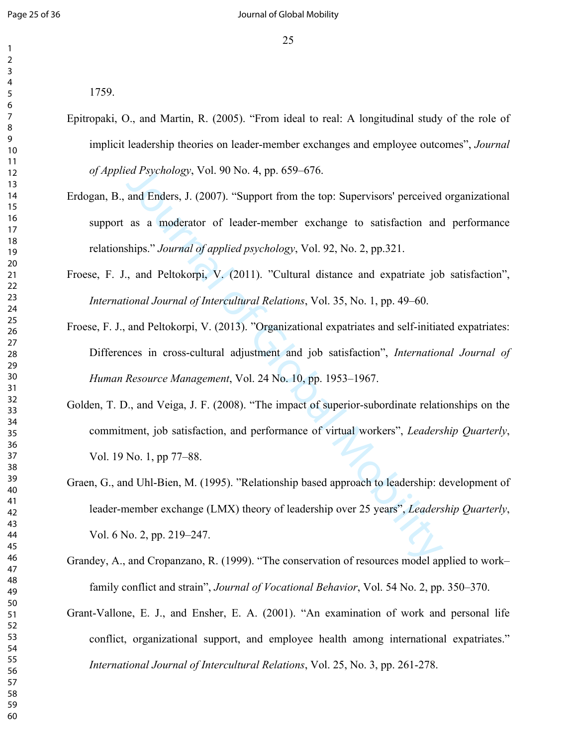1759.

- Epitropaki, O., and Martin, R. (2005). "From ideal to real: A longitudinal study of the role of implicit leadership theories on leader-member exchanges and employee outcomes", *Journal of Applied Psychology*, Vol. 90 No. 4, pp. 659–676.
- Erdogan, B., and Enders, J. (2007). "Support from the top: Supervisors' perceived organizational support as a moderator of leader-member exchange to satisfaction and performance relationships." *Journal of applied psychology*, Vol. 92, No. 2, pp.321.
- Froese, F. J., and Peltokorpi, V. (2011). "Cultural distance and expatriate job satisfaction", *International Journal of Intercultural Relations*, Vol. 35, No. 1, pp. 49–60.
- ed Psychology, Vol. 90 No. 4, pp. 659–676.<br>
and Enders, J. (2007). "Support from the top: Supervisors' perceived<br>
as a moderator of leader-member exchange to satisfaction and<br>
ships." Journal of applied psychology, Vol. 92 Froese, F. J., and Peltokorpi, V. (2013). "Organizational expatriates and self-initiated expatriates: Differences in cross-cultural adjustment and job satisfaction", *International Journal of Human Resource Management*, Vol. 24 No. 10, pp. 1953–1967.
- Golden, T. D., and Veiga, J. F. (2008). "The impact of superior-subordinate relationships on the commitment, job satisfaction, and performance of virtual workers", *Leadership Quarterly*, Vol. 19 No. 1, pp 77–88.
- Graen, G., and Uhl-Bien, M. (1995). "Relationship based approach to leadership: development of leader-member exchange (LMX) theory of leadership over 25 years", *Leadership Quarterly*, Vol. 6 No. 2, pp. 219–247.
- Grandey, A., and Cropanzano, R. (1999). "The conservation of resources model applied to work– family conflict and strain", *Journal of Vocational Behavior*, Vol. 54 No. 2, pp. 350–370.
- Grant-Vallone, E. J., and Ensher, E. A. (2001). "An examination of work and personal life conflict, organizational support, and employee health among international expatriates." *International Journal of Intercultural Relations*, Vol. 25, No. 3, pp. 261-278.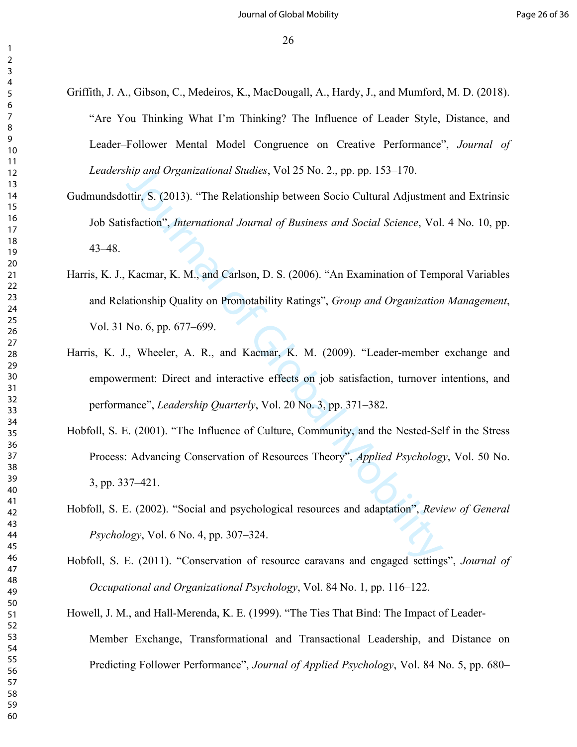- Griffith, J. A., Gibson, C., Medeiros, K., MacDougall, A., Hardy, J., and Mumford, M. D. (2018). "Are You Thinking What I'm Thinking? The Influence of Leader Style, Distance, and Leader–Follower Mental Model Congruence on Creative Performance", *Journal of Leadership and Organizational Studies*, Vol 25 No. 2., pp. pp. 153–170.
- *hip and Organizational Studies*, Vol 25 No. 2., pp. pp. 153–170.<br>
ottir, S. (2013). "The Relationship between Socio Cultural Adjustmen<br>
sfaction", *International Journal of Business and Social Science*, Vol.<br>
Kacmar, K. M Gudmundsdottir, S. (2013). "The Relationship between Socio Cultural Adjustment and Extrinsic Job Satisfaction", *International Journal of Business and Social Science*, Vol. 4 No. 10, pp. 43–48.
- Harris, K. J., Kacmar, K. M., and Carlson, D. S. (2006). "An Examination of Temporal Variables and Relationship Quality on Promotability Ratings", *Group and Organization Management*, Vol. 31 No. 6, pp. 677–699.
- Harris, K. J., Wheeler, A. R., and Kacmar, K. M. (2009). "Leader-member exchange and empowerment: Direct and interactive effects on job satisfaction, turnover intentions, and performance", *Leadership Quarterly*, Vol. 20 No. 3, pp. 371–382.
- Hobfoll, S. E. (2001). "The Influence of Culture, Community, and the Nested-Self in the Stress Process: Advancing Conservation of Resources Theory", *Applied Psychology*, Vol. 50 No. 3, pp. 337–421.
- Hobfoll, S. E. (2002). "Social and psychological resources and adaptation", *Review of General Psychology*, Vol. 6 No. 4, pp. 307–324.
- Hobfoll, S. E. (2011). "Conservation of resource caravans and engaged settings", *Journal of Occupational and Organizational Psychology*, Vol. 84 No. 1, pp. 116–122.
- Howell, J. M., and Hall-Merenda, K. E. (1999). "The Ties That Bind: The Impact of Leader-Member Exchange, Transformational and Transactional Leadership, and Distance on Predicting Follower Performance", *Journal of Applied Psychology*, Vol. 84 No. 5, pp. 680–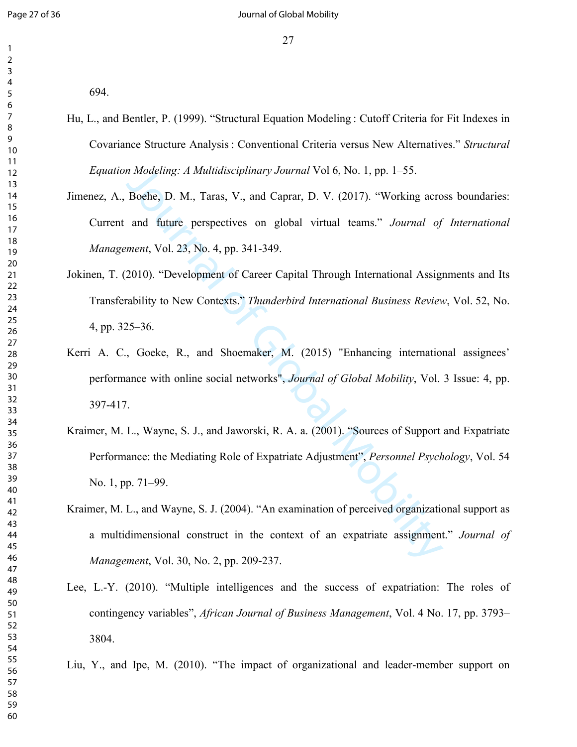694.

- Hu, L., and Bentler, P. (1999). "Structural Equation Modeling : Cutoff Criteria for Fit Indexes in Covariance Structure Analysis : Conventional Criteria versus New Alternatives." *Structural Equation Modeling: A Multidisciplinary Journal* Vol 6, No. 1, pp. 1–55.
- Jimenez, A., Boehe, D. M., Taras, V., and Caprar, D. V. (2017). "Working across boundaries: Current and future perspectives on global virtual teams." *Journal of International Management*, Vol. 23, No. 4, pp. 341-349.
- Jokinen, T. (2010). "Development of Career Capital Through International Assignments and Its Transferability to New Contexts." *Thunderbird International Business Review*, Vol. 52, No. 4, pp. 325–36.
- Kerri A. C., Goeke, R., and Shoemaker, M. (2015) "Enhancing international assignees' performance with online social networks", *Journal of Global Mobility*, Vol. 3 Issue: 4, pp. 397-417.
- *n Modeling: A Multidisciplinary Journal* Vol 6, No. 1, pp. 1–55.<br>
Boehe, D. M., Taras, V., and Caprar, D. V. (2017). "Working acro<br>
and future perspectives on global virtual teams." *Journal of*<br> *ment*, Vol. 23, No. 4, p Kraimer, M. L., Wayne, S. J., and Jaworski, R. A. a. (2001). "Sources of Support and Expatriate Performance: the Mediating Role of Expatriate Adjustment", *Personnel Psychology*, Vol. 54 No. 1, pp. 71–99.
- Kraimer, M. L., and Wayne, S. J. (2004). "An examination of perceived organizational support as a multidimensional construct in the context of an expatriate assignment." *Journal of Management*, Vol. 30, No. 2, pp. 209-237.
- Lee, L.-Y. (2010). "Multiple intelligences and the success of expatriation: The roles of contingency variables", *African Journal of Business Management*, Vol. 4 No. 17, pp. 3793– 3804.

Liu, Y., and Ipe, M. (2010). "The impact of organizational and leader-member support on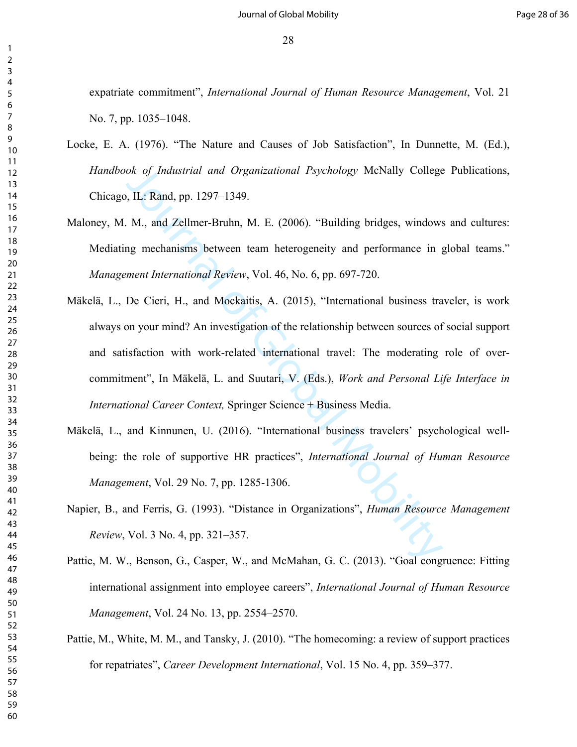expatriate commitment", *International Journal of Human Resource Management*, Vol. 21 No. 7, pp. 1035–1048.

- Locke, E. A. (1976). "The Nature and Causes of Job Satisfaction", In Dunnette, M. (Ed.), *Handbook of Industrial and Organizational Psychology* McNally College Publications, Chicago, IL: Rand, pp. 1297–1349.
- Maloney, M. M., and Zellmer-Bruhn, M. E. (2006). "Building bridges, windows and cultures: Mediating mechanisms between team heterogeneity and performance in global teams." *Management International Review*, Vol. 46, No. 6, pp. 697-720.
- ok of Industrial and Organizational Psychology McNally College<br>
J. IL: Rand, pp. 1297–1349.<br>
M., and Zellmer-Bruhn, M. E. (2006). "Building bridges, windows<br>
mg mechanisms between team heterogeneity and performance in g<br>
m Mäkelä, L., De Cieri, H., and Mockaitis, A. (2015), "International business traveler, is work always on your mind? An investigation of the relationship between sources of social support and satisfaction with work-related international travel: The moderating role of overcommitment", In Mäkelä, L. and Suutari, V. (Eds.), *Work and Personal Life Interface in International Career Context,* Springer Science + Business Media.
- Mäkelä, L., and Kinnunen, U. (2016). "International business travelers' psychological wellbeing: the role of supportive HR practices", *International Journal of Human Resource Management*, Vol. 29 No. 7, pp. 1285-1306.
- Napier, B., and Ferris, G. (1993). "Distance in Organizations", *Human Resource Management Review*, Vol. 3 No. 4, pp. 321–357.
- Pattie, M. W., Benson, G., Casper, W., and McMahan, G. C. (2013). "Goal congruence: Fitting international assignment into employee careers", *International Journal of Human Resource Management*, Vol. 24 No. 13, pp. 2554–2570.
- Pattie, M., White, M. M., and Tansky, J. (2010). "The homecoming: a review of support practices for repatriates", *Career Development International*, Vol. 15 No. 4, pp. 359–377.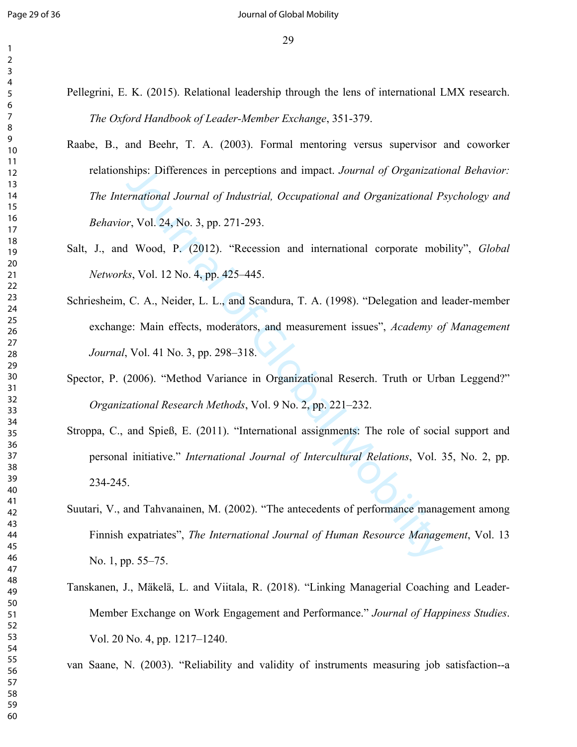- Pellegrini, E. K. (2015). Relational leadership through the lens of international LMX research. *The Oxford Handbook of Leader-Member Exchange*, 351-379.
- Raabe, B., and Beehr, T. A. (2003). Formal mentoring versus supervisor and coworker relationships: Differences in perceptions and impact. *Journal of Organizational Behavior: The International Journal of Industrial, Occupational and Organizational Psychology and Behavior*, Vol. 24, No. 3, pp. 271-293.
- Salt, J., and Wood, P. (2012). "Recession and international corporate mobility", *Global Networks*, Vol. 12 No. 4, pp. 425–445.
- Schriesheim, C. A., Neider, L. L., and Scandura, T. A. (1998). "Delegation and leader-member exchange: Main effects, moderators, and measurement issues", *Academy of Management Journal*, Vol. 41 No. 3, pp. 298–318.
- Spector, P. (2006). "Method Variance in Organizational Reserch. Truth or Urban Leggend?" *Organizational Research Methods*, Vol. 9 No. 2, pp. 221–232.
- ships: Differences in perceptions and impact. Journal of Organizational Pernational Journal of Industrial, Occupational and Organizational P<br>r, Vol. 24, No. 3, pp. 271-293.<br>Il Wood, P. (2012). "Recession and international Stroppa, C., and Spieß, E. (2011). "International assignments: The role of social support and personal initiative." *International Journal of Intercultural Relations*, Vol. 35, No. 2, pp. 234-245.
- Suutari, V., and Tahvanainen, M. (2002). "The antecedents of performance management among Finnish expatriates", *The International Journal of Human Resource Management*, Vol. 13 No. 1, pp. 55–75.
- Tanskanen, J., Mäkelä, L. and Viitala, R. (2018). "Linking Managerial Coaching and Leader-Member Exchange on Work Engagement and Performance." *Journal of Happiness Studies*. Vol. 20 No. 4, pp. 1217–1240.

van Saane, N. (2003). "Reliability and validity of instruments measuring job satisfaction--a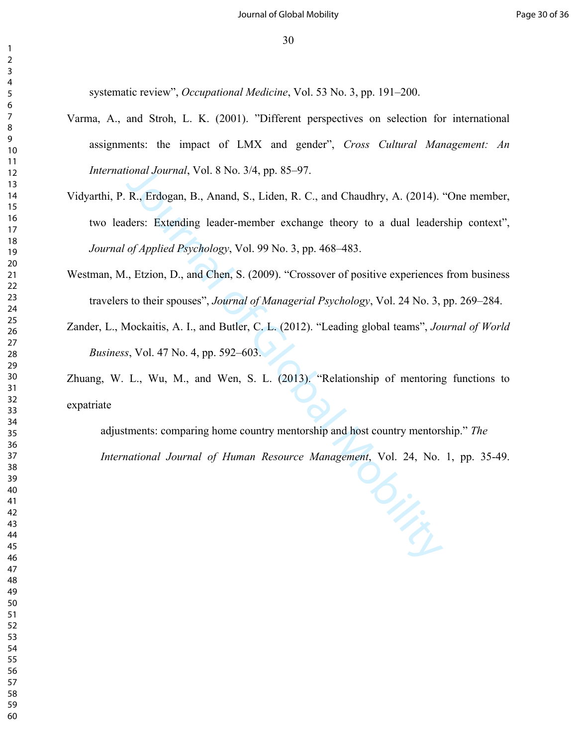systematic review", *Occupational Medicine*, Vol. 53 No. 3, pp. 191–200.

- Varma, A., and Stroh, L. K. (2001). "Different perspectives on selection for international assignments: the impact of LMX and gender", *Cross Cultural Management: An International Journal*, Vol. 8 No. 3/4, pp. 85–97.
- ional Journal, Vol. 8 No. 3/4, pp. 85–97.<br>
R., Erdogan, B., Anand, S., Liden, R. C., and Chaudhry, A. (2014).<br>
ders: Extending leader-member exchange theory to a dual leader<br>
of Applied Psychology, Vol. 99 No. 3, pp. 468–4 Vidyarthi, P. R., Erdogan, B., Anand, S., Liden, R. C., and Chaudhry, A. (2014). "One member, two leaders: Extending leader-member exchange theory to a dual leadership context", *Journal of Applied Psychology*, Vol. 99 No. 3, pp. 468–483.
- Westman, M., Etzion, D., and Chen, S. (2009). "Crossover of positive experiences from business travelers to their spouses", *Journal of Managerial Psychology*, Vol. 24 No. 3, pp. 269–284.
- Zander, L., Mockaitis, A. I., and Butler, C. L. (2012). "Leading global teams", *Journal of World Business*, Vol. 47 No. 4, pp. 592–603.

Zhuang, W. L., Wu, M., and Wen, S. L. (2013). "Relationship of mentoring functions to expatriate

adjustments: comparing home country mentorship and host country mentorship." *The International Journal of Human Resource Management*, Vol. 24, No. 1, pp. 35-49.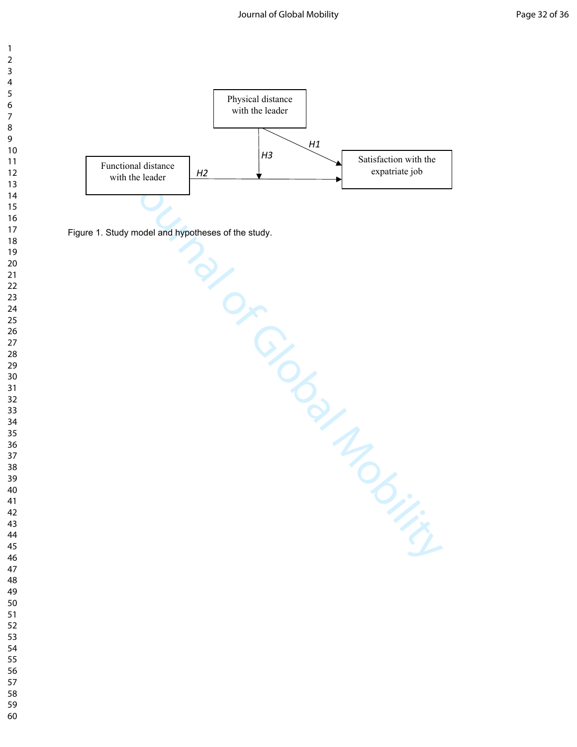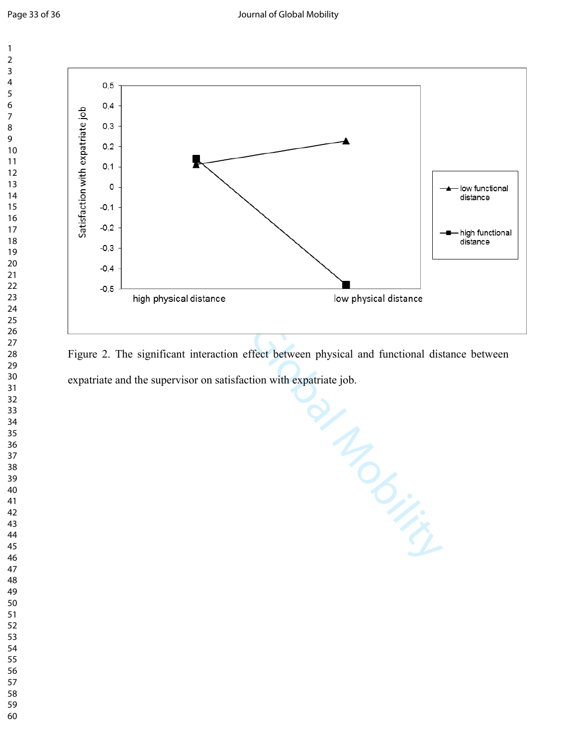

Figure 2. The significant interaction effect between physical and functional distance between expatriate and the supervisor on satisfaction with expatriate job.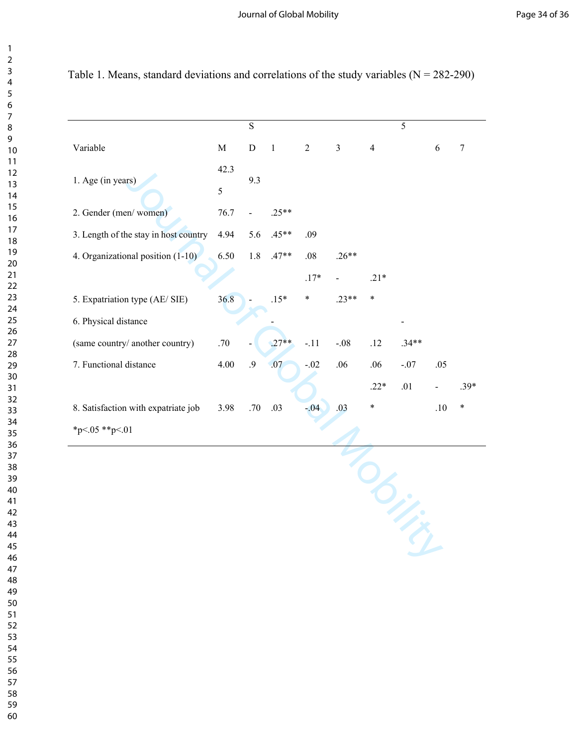|                                       |                    | $\overline{s}$ |         |                |                |                | $\overline{5}$ |            |                |
|---------------------------------------|--------------------|----------------|---------|----------------|----------------|----------------|----------------|------------|----------------|
| Variable                              | $\mathbf M$        | ${\bf D}$      | $\,1\,$ | $\overline{2}$ | $\mathfrak{Z}$ | $\overline{4}$ |                | $\sqrt{6}$ | $\overline{7}$ |
| 1. Age (in years)                     | 42.3<br>$\sqrt{5}$ | 9.3            |         |                |                |                |                |            |                |
| 2. Gender (men/women)                 | 76.7               |                | $.25**$ |                |                |                |                |            |                |
| 3. Length of the stay in host country | 4.94               | 5.6            | $.45**$ | .09            |                |                |                |            |                |
| 4. Organizational position (1-10)     | 6.50               | 1.8            | $.47**$ | .08            | $.26**$        |                |                |            |                |
|                                       |                    |                |         | $.17*$         |                | $.21*$         |                |            |                |
| 5. Expatriation type (AE/ SIE)        | 36.8               |                | $.15*$  | $\ast$         | $.23**$        | $\ast$         |                |            |                |
| 6. Physical distance                  |                    |                |         |                |                |                |                |            |                |
| (same country/ another country)       | .70                |                | $.27**$ | $-.11$         | $-.08$         | .12            | $.34**$        |            |                |
| 7. Functional distance                | 4.00               | .9             | .07     | $-.02$         | .06            | .06            | $-.07$         | .05        |                |
|                                       |                    |                |         |                |                | $.22*$         | .01            |            | $.39*$         |
| 8. Satisfaction with expatriate job   | 3.98               | .70            | .03     | $-04$          | .03            | $\ast$         |                | .10        | $\ast$         |
| *p<.05 **p<.01                        |                    |                |         |                |                |                |                |            |                |
|                                       |                    |                |         |                |                |                |                |            |                |

Table 1. Means, standard deviations and correlations of the study variables  $(N = 282-290)$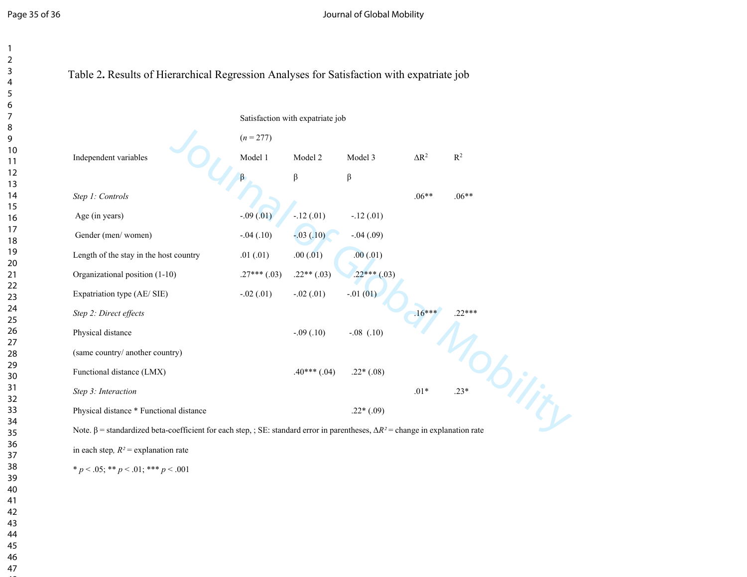|                                         |                  | Satisfaction with expatriate job |                |              |                |
|-----------------------------------------|------------------|----------------------------------|----------------|--------------|----------------|
|                                         | $(n = 277)$      |                                  |                |              |                |
| Independent variables                   | Model 1          | Model 2                          | Model 3        | $\Delta R^2$ | $\mathbb{R}^2$ |
|                                         |                  | $\beta$                          | β              |              |                |
| Step 1: Controls                        |                  |                                  |                | $.06**$      | $.06**$        |
| Age (in years)                          | $-.09(.01)$      | $-12(01)$                        | $-.12(.01)$    |              |                |
| Gender (men/women)                      | $-.04(.10)$      | $-0.03(0.10)$                    | $-.04(.09)$    |              |                |
| Length of the stay in the host country  | .01(.01)         | .00(.01)                         | .00(.01)       |              |                |
| Organizational position (1-10)          | $.27***$ $(.03)$ | $.22**(.03)$                     | $.22***(.03)$  |              |                |
| Expatriation type (AE/ SIE)             | $-.02(.01)$      | $-.02(.01)$                      | $-0.01(01)$    |              |                |
| Step 2: Direct effects                  |                  |                                  |                | $.16***$     | $22***$        |
| Physical distance                       |                  | $-.09(.10)$                      | $-.08$ $(.10)$ |              |                |
| (same country/ another country)         |                  |                                  |                |              |                |
| Functional distance (LMX)               |                  | $.40***(.04)$                    | $.22*(.08)$    |              |                |
| Step 3: Interaction                     |                  |                                  |                | $.01*$       | $.23*$         |
| Physical distance * Functional distance |                  |                                  | $.22*(.09)$    |              |                |

 $* p < .05; ** p < .01; *** p < .001$